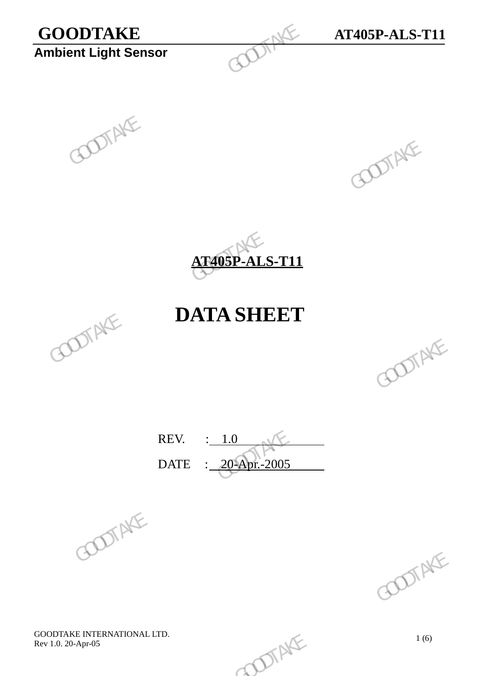# **GOODTAKE AT405P-ALS-T11**<br>Ambient Light Sensor **Ambient Light Sensor** GOODTAKE<br>Ambient Light Sensor<br>COOPSE





# **DATA SHEET**





REV.  $\qquad \qquad : \qquad 1.0$ DATE : 20-Apr.-2005 REV.  $\frac{1.0}{20-20}$  GOOTAKE





GOODTAKE INTERNATIONAL LTD. GOODTAKE INTERNATIONAL LTD.<br>Rev 1.0. 20-Apr-05 1 (6)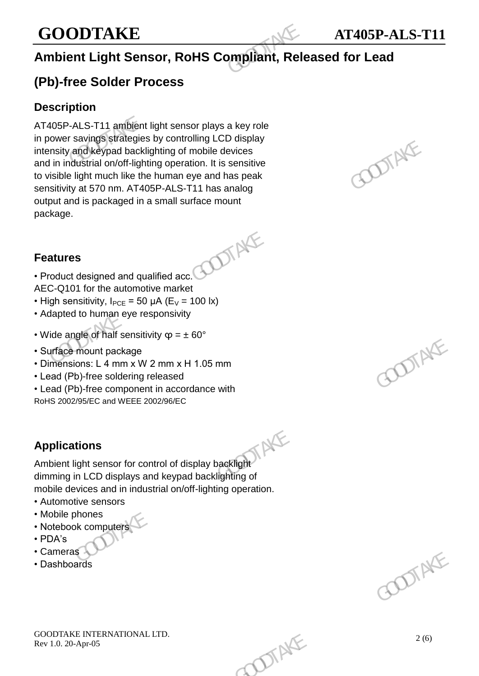# **GOODTAKE AT405P-ALS-T11**

# **Ambient Light Sensor, RoHS Compliant, Released for Lead**

## **(Pb)-free Solder Process**

### **Description**

AT405P-ALS-T11 ambient light sensor plays a key role in power savings strategies by controlling LCD display intensity and keypad backlighting of mobile devices and in industrial on/off-lighting operation. It is sensitive to visible light much like the human eye and has peak sensitivity at 570 nm. AT405P-ALS-T11 has analog output and is packaged in a small surface mount package. **GOODTAKE**<br> **Ambient Light Sensor, RoHS Compliant, Rele**<br> **(Pb)-free Solder Process**<br>
Description<br>
AT405P-ALS-T11 ambient light sensor plays a key role<br>
in power savings strategies by controlling LCD display<br>
intensity and From considering the solution of Highland Backlighting of mobile devices<br>and in inclusitrial on/off-lighting operation. It is sensitive<br>to visible light much like the human eye and has peak<br>sensitivity at 570 nm. AT405P-A

### **Features**

- Product designed and qualified acc. AEC-Q101 for the automotive market
- High sensitivity,  $I_{PCE} = 50 \mu A (E_V = 100 \text{ lx})$
- Adapted to human eye responsivity
- Wide angle of half sensitivity  $\varphi = \pm 60^{\circ}$
- Surface mount package
- Dimensions: L 4 mm x W 2 mm x H 1.05 mm
- Lead (Pb)-free soldering released
- Lead (Pb)-free component in accordance with RoHS 2002/95/EC and WEEE 2002/96/EC

### **Applications**

Applications<br>Ambient light sensor for control of display backlight dimming in LCD displays and keypad backlighting of mobile devices and in industrial on/off-lighting operation. From the package<br>
From the package<br>
ons: L 4 mm x W 2 mm x H 1.05 mm<br>
b)-free soldering released<br>
b)-free component in accordance with<br>
SASEC and WEEE 2002/96/EC<br>
tions<br>
light sensor for control of display backlight<br>
in LC

- Automotive sensors
- Mobile phones
- Notebook computers
- PDA's
- Cameras
- Dashboards





GOODTAKE INTERNATIONAL LTD. GOODTAKE INTERNATIONAL LTD.<br>Rev 1.0. 20-Apr-05 2 (6)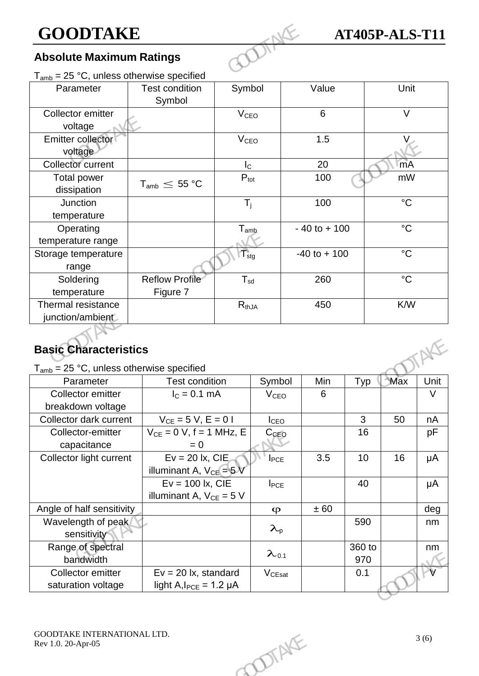### **Absolute Maximum Ratings**

| <b>GOODTAKE</b>                               |                                    |                        |                  | <b>AT405P-ALS-T11</b> |     |                 |                |
|-----------------------------------------------|------------------------------------|------------------------|------------------|-----------------------|-----|-----------------|----------------|
| <b>Absolute Maximum Ratings</b>               |                                    |                        |                  |                       |     |                 |                |
| $T_{amb}$ = 25 °C, unless otherwise specified |                                    |                        |                  |                       |     |                 |                |
| Parameter                                     | <b>Test condition</b><br>Symbol    | Symbol                 |                  | Value                 |     | Unit            |                |
| Collector emitter<br>voltage                  |                                    | V <sub>CEO</sub>       |                  | 6                     |     | $\vee$          |                |
| Emitter collector<br>voltage                  |                                    | <b>V<sub>CEO</sub></b> |                  | 1.5                   |     | V               |                |
| Collector current                             |                                    | $I_{\rm C}$            |                  | 20                    |     | mA              |                |
| <b>Total power</b><br>dissipation             | $T_{\text{amb}} \leq 55 \degree C$ | $P_{\text{tot}}$       |                  | 100                   |     | mW              |                |
| <b>Junction</b>                               |                                    | $T_i$                  |                  | 100                   |     | $\rm ^{\circ}C$ |                |
| temperature                                   |                                    |                        |                  |                       |     |                 |                |
| Operating                                     |                                    | $T_{\text{amb}}$       |                  | $-40$ to $+100$       |     | $\rm ^{\circ}C$ |                |
| temperature range                             |                                    |                        |                  |                       |     |                 |                |
| Storage temperature<br>range                  |                                    | $T_{\text{stg}}$       |                  | $-40$ to $+100$       |     | $^{\circ}C$     |                |
| Soldering                                     | Reflow Profile                     | $T_{sd}$               |                  | 260                   |     | $\rm ^{\circ}C$ |                |
| temperature                                   | Figure 7                           |                        |                  |                       |     |                 |                |
| Thermal resistance                            |                                    | $R_{thJA}$             |                  | 450                   |     | K/W             |                |
| junction/ambient                              |                                    |                        |                  |                       |     |                 |                |
| <b>Basic Characteristics</b>                  |                                    |                        |                  |                       |     |                 |                |
| $T_{amb}$ = 25 °C, unless otherwise specified |                                    |                        |                  |                       |     |                 |                |
| Parameter                                     | <b>Test condition</b>              |                        | Symbol           | Min                   | Typ | Max             | Unit<br>$\vee$ |
| Collector emitter                             | $I_c = 0.1$ mA                     |                        | V <sub>CEO</sub> | 6                     |     |                 |                |

### **Basic Characteristics**

| $T_{amb}$ = 25 °C, unless otherwise specified<br>Symbol<br>Min<br>Max<br>Unit<br><b>Test condition</b><br>Typ<br>Parameter<br>Collector emitter<br>$I_c = 0.1$ mA<br>$\vee$<br>6<br><b>V<sub>CEO</sub></b><br>breakdown voltage<br>$V_{CE} = 5 V, E = 0 I$<br>Collector dark current<br>3<br>50<br>I <sub>CEO</sub><br>nA<br>$V_{CE} = 0 V$ , f = 1 MHz, E<br>16<br>Collector-emitter<br>$C_{CEQ}$<br>pF<br>capacitance<br>$= 0$<br>$Ev = 20$ lx, CIE<br>3.5<br>10<br>16<br>Collector light current<br>μA<br>$I_{PCE}$<br>illuminant A, $V_{CE} = 5V$<br>$Ev = 100$ lx, CIE<br>40<br>μA<br>$I_{PCE}$<br>illuminant A, $V_{CE} = 5 V$<br>Angle of half sensitivity<br>± 60<br>deg<br>$\varphi$<br>Wavelength of peak<br>590<br>nm<br>$\lambda_{p}$<br>sensitivity<br>Range of spectral<br>360 to<br>nm<br>$\lambda_{0.1}$<br>bandwidth<br>970<br>$Ev = 20$ lx, standard<br>Collector emitter<br>$V_{CEsat}$<br>0.1<br>saturation voltage<br>light $A$ , $I_{PCE} = 1.2 \mu A$<br>GOODTAKE INTERNATIONAL LTD.<br>3(6)<br>Rev 1.0. 20-Apr-05 | POTAKE | <b>Basic Characteristics</b> |  |  |  |
|-------------------------------------------------------------------------------------------------------------------------------------------------------------------------------------------------------------------------------------------------------------------------------------------------------------------------------------------------------------------------------------------------------------------------------------------------------------------------------------------------------------------------------------------------------------------------------------------------------------------------------------------------------------------------------------------------------------------------------------------------------------------------------------------------------------------------------------------------------------------------------------------------------------------------------------------------------------------------------------------------------------------------------------------|--------|------------------------------|--|--|--|
|                                                                                                                                                                                                                                                                                                                                                                                                                                                                                                                                                                                                                                                                                                                                                                                                                                                                                                                                                                                                                                           |        |                              |  |  |  |
|                                                                                                                                                                                                                                                                                                                                                                                                                                                                                                                                                                                                                                                                                                                                                                                                                                                                                                                                                                                                                                           |        |                              |  |  |  |
|                                                                                                                                                                                                                                                                                                                                                                                                                                                                                                                                                                                                                                                                                                                                                                                                                                                                                                                                                                                                                                           |        |                              |  |  |  |
|                                                                                                                                                                                                                                                                                                                                                                                                                                                                                                                                                                                                                                                                                                                                                                                                                                                                                                                                                                                                                                           |        |                              |  |  |  |
|                                                                                                                                                                                                                                                                                                                                                                                                                                                                                                                                                                                                                                                                                                                                                                                                                                                                                                                                                                                                                                           |        |                              |  |  |  |
|                                                                                                                                                                                                                                                                                                                                                                                                                                                                                                                                                                                                                                                                                                                                                                                                                                                                                                                                                                                                                                           |        |                              |  |  |  |
|                                                                                                                                                                                                                                                                                                                                                                                                                                                                                                                                                                                                                                                                                                                                                                                                                                                                                                                                                                                                                                           |        |                              |  |  |  |
|                                                                                                                                                                                                                                                                                                                                                                                                                                                                                                                                                                                                                                                                                                                                                                                                                                                                                                                                                                                                                                           |        |                              |  |  |  |
|                                                                                                                                                                                                                                                                                                                                                                                                                                                                                                                                                                                                                                                                                                                                                                                                                                                                                                                                                                                                                                           |        |                              |  |  |  |
|                                                                                                                                                                                                                                                                                                                                                                                                                                                                                                                                                                                                                                                                                                                                                                                                                                                                                                                                                                                                                                           |        |                              |  |  |  |
|                                                                                                                                                                                                                                                                                                                                                                                                                                                                                                                                                                                                                                                                                                                                                                                                                                                                                                                                                                                                                                           |        |                              |  |  |  |
|                                                                                                                                                                                                                                                                                                                                                                                                                                                                                                                                                                                                                                                                                                                                                                                                                                                                                                                                                                                                                                           |        |                              |  |  |  |
|                                                                                                                                                                                                                                                                                                                                                                                                                                                                                                                                                                                                                                                                                                                                                                                                                                                                                                                                                                                                                                           |        |                              |  |  |  |
|                                                                                                                                                                                                                                                                                                                                                                                                                                                                                                                                                                                                                                                                                                                                                                                                                                                                                                                                                                                                                                           |        |                              |  |  |  |
|                                                                                                                                                                                                                                                                                                                                                                                                                                                                                                                                                                                                                                                                                                                                                                                                                                                                                                                                                                                                                                           |        |                              |  |  |  |
|                                                                                                                                                                                                                                                                                                                                                                                                                                                                                                                                                                                                                                                                                                                                                                                                                                                                                                                                                                                                                                           |        |                              |  |  |  |
|                                                                                                                                                                                                                                                                                                                                                                                                                                                                                                                                                                                                                                                                                                                                                                                                                                                                                                                                                                                                                                           |        |                              |  |  |  |
|                                                                                                                                                                                                                                                                                                                                                                                                                                                                                                                                                                                                                                                                                                                                                                                                                                                                                                                                                                                                                                           |        |                              |  |  |  |
|                                                                                                                                                                                                                                                                                                                                                                                                                                                                                                                                                                                                                                                                                                                                                                                                                                                                                                                                                                                                                                           |        |                              |  |  |  |
|                                                                                                                                                                                                                                                                                                                                                                                                                                                                                                                                                                                                                                                                                                                                                                                                                                                                                                                                                                                                                                           |        |                              |  |  |  |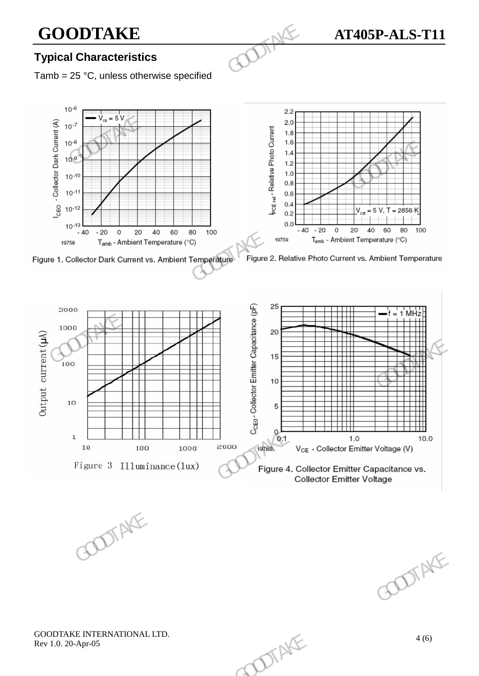# **GOODTAKE**<br> **GOODTAKE** AT405P-ALS-T11<br> **AT405P-ALS-T11**

### **Typical Characteristics**

Tamb =  $25 \text{ °C}$ , unless otherwise specified



GOODTAKE INTERNATIONAL LTD. GOODTAKE INTERNATIONAL LTD.<br>Rev 1.0. 20-Apr-05 4 (6)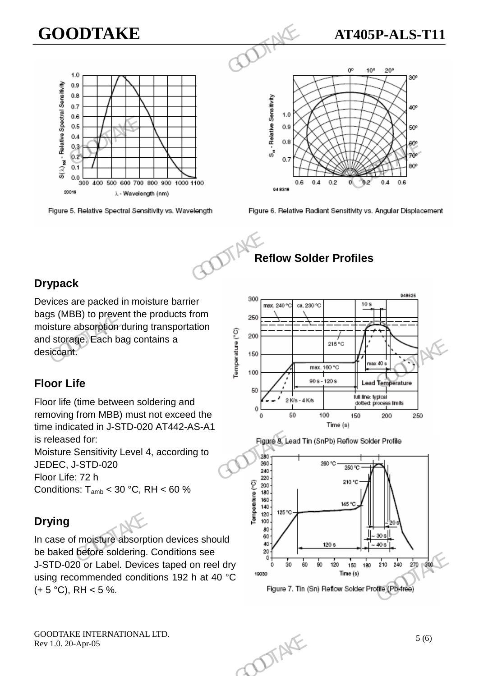# $\begin{array}{r} \begin{array}{r} \begin{array}{r} \text{10} \\ \text{20} \end{array} \\ \hline \end{array} \end{array}$

# **GOODTAKE AT405P-ALS-T11**





### **Reflow Solder Profiles**

### **Drypack**

Devices are packed in moisture barrier bags (MBB) to prevent the products from moisture absorption during transportation and storage. Each bag contains a desiccant.

### **Floor Life**

Floor life (time between soldering and removing from MBB) must not exceed the time indicated in J-STD-020 AT442-AS-A1 is released for:

Moisture Sensitivity Level 4, according to JEDEC, J-STD-020

Floor Life: 72 h Conditions:  $T_{amb}$  < 30 °C, RH < 60 %

## **Drying**



In case of moisture absorption devices should be baked before soldering. Conditions see J-STD-020 or Label. Devices taped on reel dry using recommended conditions 192 h at 40 °C  $(+ 5 °C)$ , RH < 5 %.